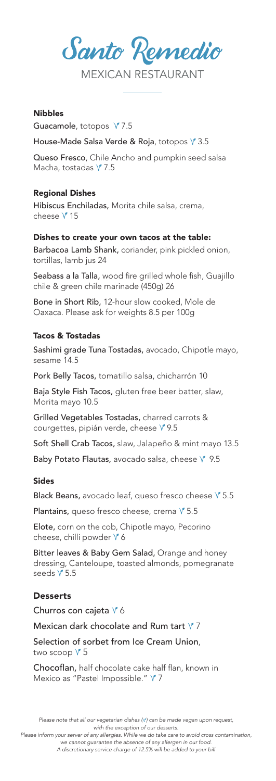Santo Remedio

MEXICAN RESTAURANT

### **Nihhlee**

Guacamole, totopos  $\sqrt{7.5}$ 

House-Made Salsa Verde & Roja, totopos V<sup>3.5</sup>

Queso Fresco, Chile Ancho and pumpkin seed salsa Macha, tostadas  $\sqrt{7.5}$ 

## Regional Dishes

Hibiscus Enchiladas, Morita chile salsa, crema, cheese V<sup>15</sup>

## Dishes to create your own tacos at the table:

Barbacoa Lamb Shank, coriander, pink pickled onion, tortillas, lamb jus 24

Seabass a la Talla, wood fire grilled whole fish, Guajillo chile & green chile marinade (450g) 26

Bone in Short Rib, 12-hour slow cooked, Mole de Oaxaca. Please ask for weights 8.5 per 100g

#### Tacos & Tostadas

Sashimi grade Tuna Tostadas, avocado, Chipotle mayo, sesame 14.5

Pork Belly Tacos, tomatillo salsa, chicharrón 10

Baja Style Fish Tacos, gluten free beer batter, slaw, Morita mayo 10.5

Grilled Vegetables Tostadas, charred carrots & courgettes, pipián verde, cheese V 9.5

Soft Shell Crab Tacos, slaw, Jalapeño & mint mayo 13.5

Baby Potato Flautas, avocado salsa, cheese  $\sqrt{9.5}$ 

#### Sides

Black Beans, avocado leaf, queso fresco cheese  $\sqrt{5.5}$ 

Plantains, queso fresco cheese, crema  $\sqrt{5.5}$ 

Elote, corn on the cob, Chipotle mayo, Pecorino cheese, chilli powder  $\sqrt{6}$ 

Bitter leaves & Baby Gem Salad, Orange and honey dressing, Canteloupe, toasted almonds, pomegranate seeds  $\sqrt{5.5}$ 

#### **Desserts**

Churros con cajeta  $\sqrt{6}$ 

Mexican dark chocolate and Rum tart  $\sqrt{7}$ 

Selection of sorbet from Ice Cream Union, two scoop  $\sqrt{5}$ 

Chocoflan, half chocolate cake half flan, known in Mexico as "Pastel Impossible." Y 7

*Please note that all our vegetarian dishes ( ) can be made vegan upon request, with the exception of our desserts.*

*Please inform your server of any allergies. While we do take care to avoid cross contamination, we cannot guarantee the absence of any allergen in our food.* 

*A discretionary service charge of 12.5% will be added to your bill*